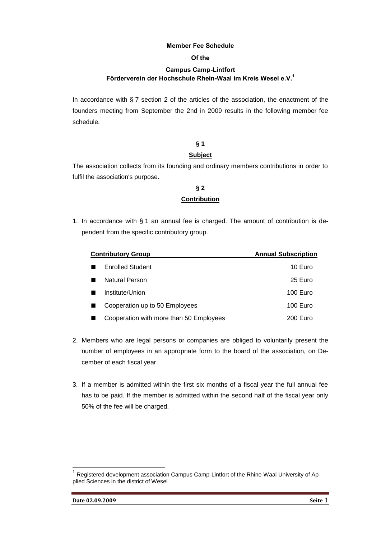### **Member Fee Schedule**

#### **Of the**

### **Campus Camp-Lintfort Förderverein der Hochschule Rhein-Waal im Kreis Wesel e.V.<sup>1</sup>**

In accordance with  $\S 7$  section 2 of the articles of the association, the enactment of the founders meeting from September the 2nd in 2009 results in the following member fee schedule.

# **§ 1**

### **Subject**

The association collects from its founding and ordinary members contributions in order to fulfil the association's purpose.

### **§ 2 Contribution**

1. In accordance with § 1 an annual fee is charged. The amount of contribution is dependent from the specific contributory group.

| <b>Contributory Group</b>               | <b>Annual Subscription</b> |
|-----------------------------------------|----------------------------|
| <b>Enrolled Student</b>                 | 10 Euro                    |
| Natural Person                          | 25 Euro                    |
| Institute/Union                         | 100 Euro                   |
| Cooperation up to 50 Employees          | 100 Euro                   |
| Cooperation with more than 50 Employees | 200 Euro                   |

- 2. Members who are legal persons or companies are obliged to voluntarily present the number of employees in an appropriate form to the board of the association, on December of each fiscal year.
- 3. If a member is admitted within the first six months of a fiscal year the full annual fee has to be paid. If the member is admitted within the second half of the fiscal year only 50% of the fee will be charged.

 $\overline{a}$ 

<sup>1</sup> Registered development association Campus Camp-Lintfort of the Rhine-Waal University of Applied Sciences in the district of Wesel